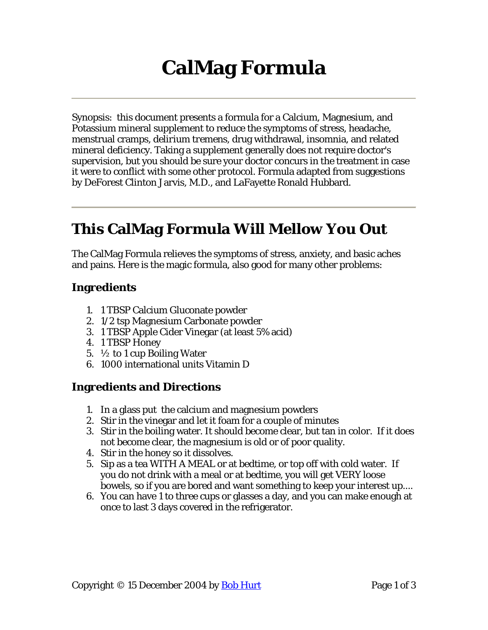# **CalMag Formula**

Synopsis: this document presents a formula for a Calcium, Magnesium, and Potassium mineral supplement to reduce the symptoms of stress, headache, menstrual cramps, *delirium tremens*, drug withdrawal, insomnia, and related mineral deficiency. Taking a supplement generally does not require doctor's supervision, but you should be sure your doctor concurs in the treatment in case it were to conflict with some other protocol. Formula adapted from suggestions by DeForest Clinton Jarvis, M.D., and LaFayette Ronald Hubbard.

# **This CalMag Formula Will Mellow You Out**

The CalMag Formula relieves the symptoms of stress, anxiety, and basic aches and pains. Here is the magic formula, also good for many other problems:

# **Ingredients**

- 1. 1 TBSP Calcium Gluconate powder
- 2. 1/2 tsp Magnesium Carbonate powder
- 3. 1 TBSP Apple Cider Vinegar (at least 5% acid)
- 4. 1 TBSP Honey
- 5.  $\frac{1}{2}$  to 1 cup Boiling Water
- 6. 1000 international units Vitamin D

#### **Ingredients and Directions**

- 1. In a glass put the calcium and magnesium powders
- 2. Stir in the vinegar and let it foam for a couple of minutes
- 3. Stir in the boiling water. It should become clear, but tan in color. If it does not become clear, the magnesium is old or of poor quality.
- 4. Stir in the honey so it dissolves.
- 5. Sip as a tea WITH A MEAL or at bedtime, or top off with cold water. If you do not drink with a meal or at bedtime, you will get VERY loose bowels, so if you are bored and want something to keep your interest up....
- 6. You can have 1 to three cups or glasses a day, and you can make enough at once to last 3 days covered in the refrigerator.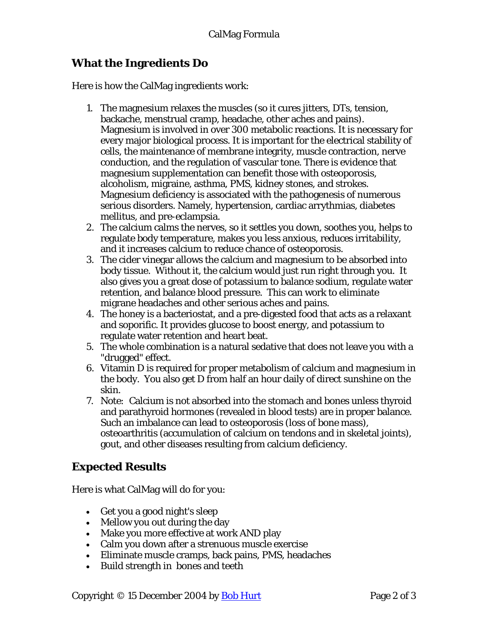# **What the Ingredients Do**

Here is how the CalMag ingredients work:

- 1. The magnesium relaxes the muscles (so it cures jitters, DTs, tension, backache, menstrual cramp, headache, other aches and pains). Magnesium is involved in over 300 metabolic reactions. It is necessary for every major biological process. It is important for the electrical stability of cells, the maintenance of membrane integrity, muscle contraction, nerve conduction, and the regulation of vascular tone. There is evidence that magnesium supplementation can benefit those with osteoporosis, alcoholism, migraine, asthma, PMS, kidney stones, and strokes. Magnesium deficiency is associated with the pathogenesis of numerous serious disorders. Namely, hypertension, cardiac arrythmias, diabetes mellitus, and pre-eclampsia.
- 2. The calcium calms the nerves, so it settles you down, soothes you, helps to regulate body temperature, makes you less anxious, reduces irritability, and it increases calcium to reduce chance of osteoporosis.
- 3. The cider vinegar allows the calcium and magnesium to be absorbed into body tissue. Without it, the calcium would just run right through you. It also gives you a great dose of potassium to balance sodium, regulate water retention, and balance blood pressure. This can work to eliminate migrane headaches and other serious aches and pains.
- 4. The honey is a bacteriostat, and a pre-digested food that acts as a relaxant and soporific. It provides glucose to boost energy, and potassium to regulate water retention and heart beat.
- 5. The whole combination is a natural sedative that does not leave you with a "drugged" effect.
- 6. Vitamin D is required for proper metabolism of calcium and magnesium in the body. You also get D from half an hour daily of direct sunshine on the skin.
- 7. *Note:* Calcium is not absorbed into the stomach and bones unless thyroid and parathyroid hormones (revealed in blood tests) are in proper balance. Such an imbalance can lead to osteoporosis (loss of bone mass), osteoarthritis (accumulation of calcium on tendons and in skeletal joints), gout, and other diseases resulting from calcium deficiency.

# **Expected Results**

Here is what CalMag will do for you:

- Get you a good night's sleep
- Mellow you out during the day
- Make you more effective at work AND play
- Calm you down after a strenuous muscle exercise
- Eliminate muscle cramps, back pains, PMS, headaches
- Build strength in bones and teeth